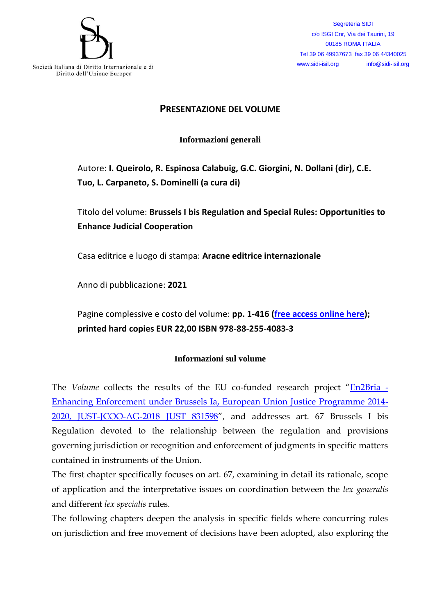

Segreteria SIDI c/o ISGI Cnr, Via dei Taurini, 19 00185 ROMA ITALIA Tel 39 06 49937673 fax 39 06 44340025 [www.sidi-isil.org](http://www.sidi-isil.org/) [info@sidi-isil.org](mailto:info@sidi-isil.org)

## **PRESENTAZIONE DEL VOLUME**

**Informazioni generali**

Autore: **I. Queirolo, R. Espinosa Calabuig, G.C. Giorgini, N. Dollani (dir), C.E. Tuo, L. Carpaneto, S. Dominelli (a cura di)**

Titolo del volume: **Brussels I bis Regulation and Special Rules: Opportunities to Enhance Judicial Cooperation**

Casa editrice e luogo di stampa: **Aracne editrice internazionale**

Anno di pubblicazione: **2021**

Pagine complessive e costo del volume: **pp. 1-416 [\(free access online here\)](https://dispo.unige.it/sites/dispo.unige.it/files/pagine/OPEN%20ACCESS_Brussels%20I%20bis%20and%20Special%20Rules.pdf); printed hard copies EUR 22,00 ISBN 978-88-255-4083-3**

## **Informazioni sul volume**

The *Volume* collects the results of the EU co-funded research project "[En2Bria -](https://dispo.unige.it/node/1042) [Enhancing Enforcement under Brussels Ia, European Union Justice Programme 2014-](https://dispo.unige.it/node/1042) [2020, JUST-JCOO-AG-2018 JUST 831598](https://dispo.unige.it/node/1042)", and addresses art. 67 Brussels I bis Regulation devoted to the relationship between the regulation and provisions governing jurisdiction or recognition and enforcement of judgments in specific matters contained in instruments of the Union.

The first chapter specifically focuses on art. 67, examining in detail its rationale, scope of application and the interpretative issues on coordination between the *lex generalis* and different *lex specialis* rules.

The following chapters deepen the analysis in specific fields where concurring rules on jurisdiction and free movement of decisions have been adopted, also exploring the